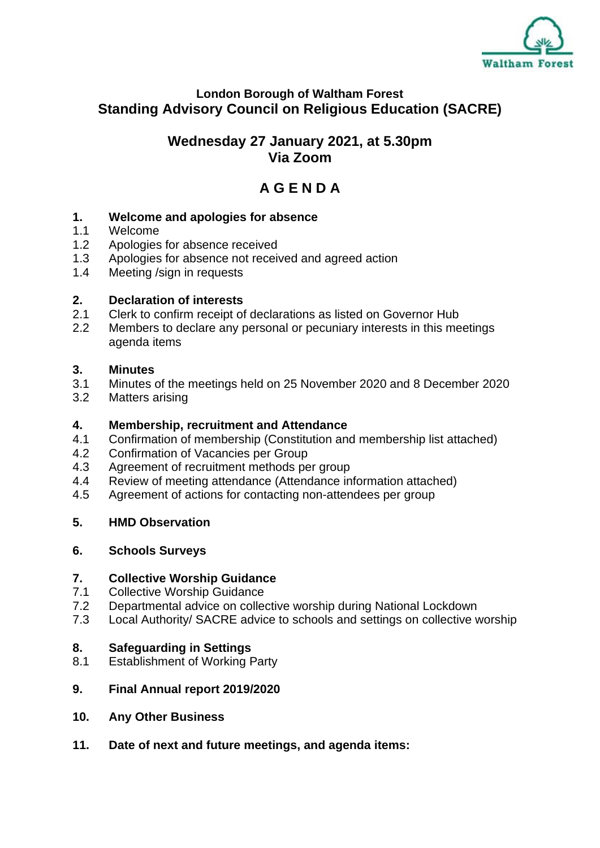

#### **London Borough of Waltham Forest Standing Advisory Council on Religious Education (SACRE)**

#### **Wednesday 27 January 2021, at 5.30pm Via Zoom**

### **A G E N D A**

# **1. Welcome and apologies for absence**

- Welcome
- 1.2 Apologies for absence received
- 1.3 Apologies for absence not received and agreed action
- 1.4 Meeting /sign in requests

#### **2. Declaration of interests**

- 2.1 Clerk to confirm receipt of declarations as listed on Governor Hub
- 2.2 Members to declare any personal or pecuniary interests in this meetings agenda items

#### **3. Minutes**

- 3.1 Minutes of the meetings held on 25 November 2020 and 8 December 2020
- 3.2 Matters arising

## **4. Membership, recruitment and Attendance**

- 4.1 Confirmation of membership (Constitution and membership list attached)
- 4.2 Confirmation of Vacancies per Group
- 4.3 Agreement of recruitment methods per group
- 4.4 Review of meeting attendance (Attendance information attached)
- 4.5 Agreement of actions for contacting non-attendees per group

#### **5. HMD Observation**

#### **6. Schools Surveys**

#### **7. Collective Worship Guidance**

- 7.1 Collective Worship Guidance
- 7.2 Departmental advice on collective worship during National Lockdown
- 7.3 Local Authority/ SACRE advice to schools and settings on collective worship

#### **8. Safeguarding in Settings**

8.1 Establishment of Working Party

#### **9. Final Annual report 2019/2020**

- **10. Any Other Business**
- **11. Date of next and future meetings, and agenda items:**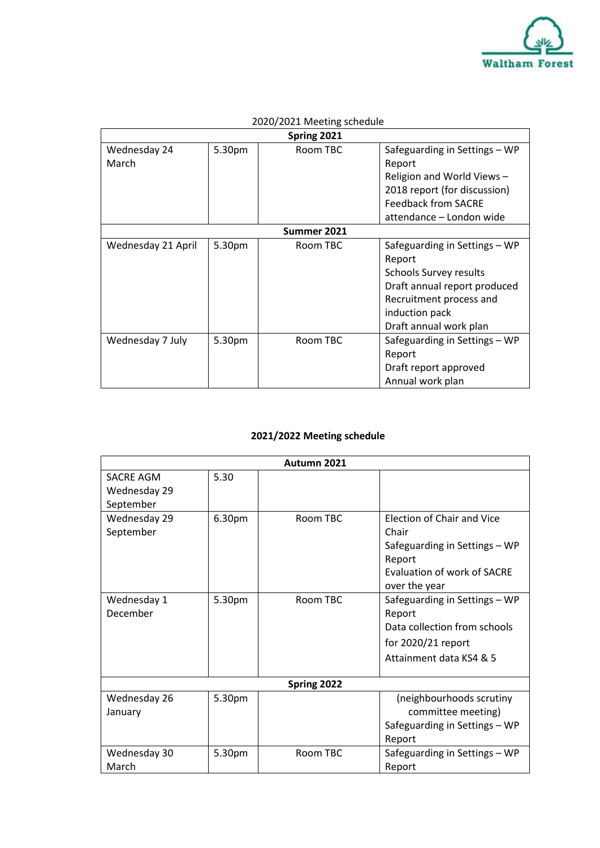

| Spring 2021           |        |          |                                                                                                                                                                                 |  |  |
|-----------------------|--------|----------|---------------------------------------------------------------------------------------------------------------------------------------------------------------------------------|--|--|
| Wednesday 24<br>March | 5.30pm | Room TBC | Safeguarding in Settings - WP<br>Report<br>Religion and World Views-<br>2018 report (for discussion)<br><b>Feedback from SACRE</b><br>attendance - London wide                  |  |  |
| Summer 2021           |        |          |                                                                                                                                                                                 |  |  |
| Wednesday 21 April    | 5.30pm | Room TBC | Safeguarding in Settings - WP<br>Report<br><b>Schools Survey results</b><br>Draft annual report produced<br>Recruitment process and<br>induction pack<br>Draft annual work plan |  |  |
| Wednesday 7 July      | 5.30pm | Room TBC | Safeguarding in Settings - WP<br>Report<br>Draft report approved<br>Annual work plan                                                                                            |  |  |

### 2020/2021 Meeting schedule

#### **2021/2022 Meeting schedule**

| Autumn 2021                                   |        |          |                                                                                                                                |  |  |
|-----------------------------------------------|--------|----------|--------------------------------------------------------------------------------------------------------------------------------|--|--|
| <b>SACRE AGM</b><br>Wednesday 29<br>September | 5.30   |          |                                                                                                                                |  |  |
| Wednesday 29<br>September                     | 6.30pm | Room TBC | Election of Chair and Vice<br>Chair<br>Safeguarding in Settings - WP<br>Report<br>Evaluation of work of SACRE<br>over the year |  |  |
| Wednesday 1<br>December                       | 5.30pm | Room TBC | Safeguarding in Settings - WP<br>Report<br>Data collection from schools<br>for 2020/21 report<br>Attainment data KS4 & 5       |  |  |
| Spring 2022                                   |        |          |                                                                                                                                |  |  |
| Wednesday 26<br>January                       | 5.30pm |          | (neighbourhoods scrutiny<br>committee meeting)<br>Safeguarding in Settings - WP<br>Report                                      |  |  |
| Wednesday 30<br>March                         | 5.30pm | Room TBC | Safeguarding in Settings - WP<br>Report                                                                                        |  |  |